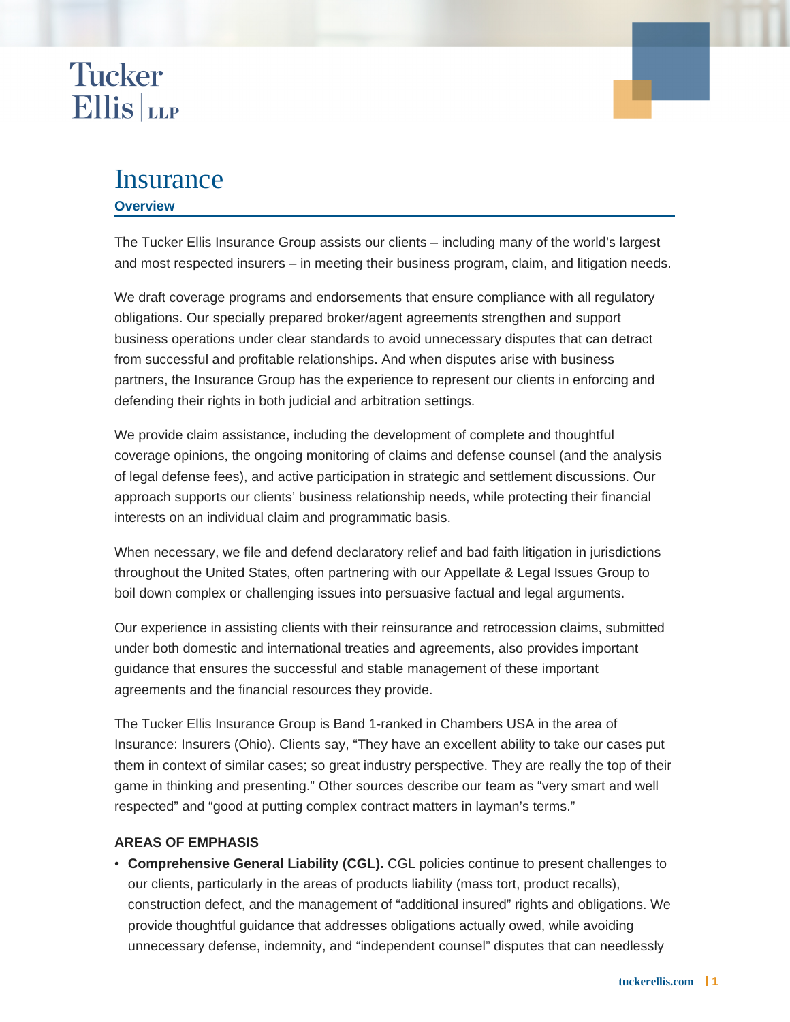### **Tucker Ellis** LLP

### Insurance

#### **Overview**

The Tucker Ellis Insurance Group assists our clients – including many of the world's largest and most respected insurers – in meeting their business program, claim, and litigation needs.

We draft coverage programs and endorsements that ensure compliance with all regulatory obligations. Our specially prepared broker/agent agreements strengthen and support business operations under clear standards to avoid unnecessary disputes that can detract from successful and profitable relationships. And when disputes arise with business partners, the Insurance Group has the experience to represent our clients in enforcing and defending their rights in both judicial and arbitration settings.

We provide claim assistance, including the development of complete and thoughtful coverage opinions, the ongoing monitoring of claims and defense counsel (and the analysis of legal defense fees), and active participation in strategic and settlement discussions. Our approach supports our clients' business relationship needs, while protecting their financial interests on an individual claim and programmatic basis.

When necessary, we file and defend declaratory relief and bad faith litigation in jurisdictions throughout the United States, often partnering with our Appellate & Legal Issues Group to boil down complex or challenging issues into persuasive factual and legal arguments.

Our experience in assisting clients with their reinsurance and retrocession claims, submitted under both domestic and international treaties and agreements, also provides important guidance that ensures the successful and stable management of these important agreements and the financial resources they provide.

The Tucker Ellis Insurance Group is Band 1-ranked in Chambers USA in the area of Insurance: Insurers (Ohio). Clients say, "They have an excellent ability to take our cases put them in context of similar cases; so great industry perspective. They are really the top of their game in thinking and presenting." Other sources describe our team as "very smart and well respected" and "good at putting complex contract matters in layman's terms."

#### **AREAS OF EMPHASIS**

**Comprehensive General Liability (CGL).** CGL policies continue to present challenges to • our clients, particularly in the areas of products liability (mass tort, product recalls), construction defect, and the management of "additional insured" rights and obligations. We provide thoughtful guidance that addresses obligations actually owed, while avoiding unnecessary defense, indemnity, and "independent counsel" disputes that can needlessly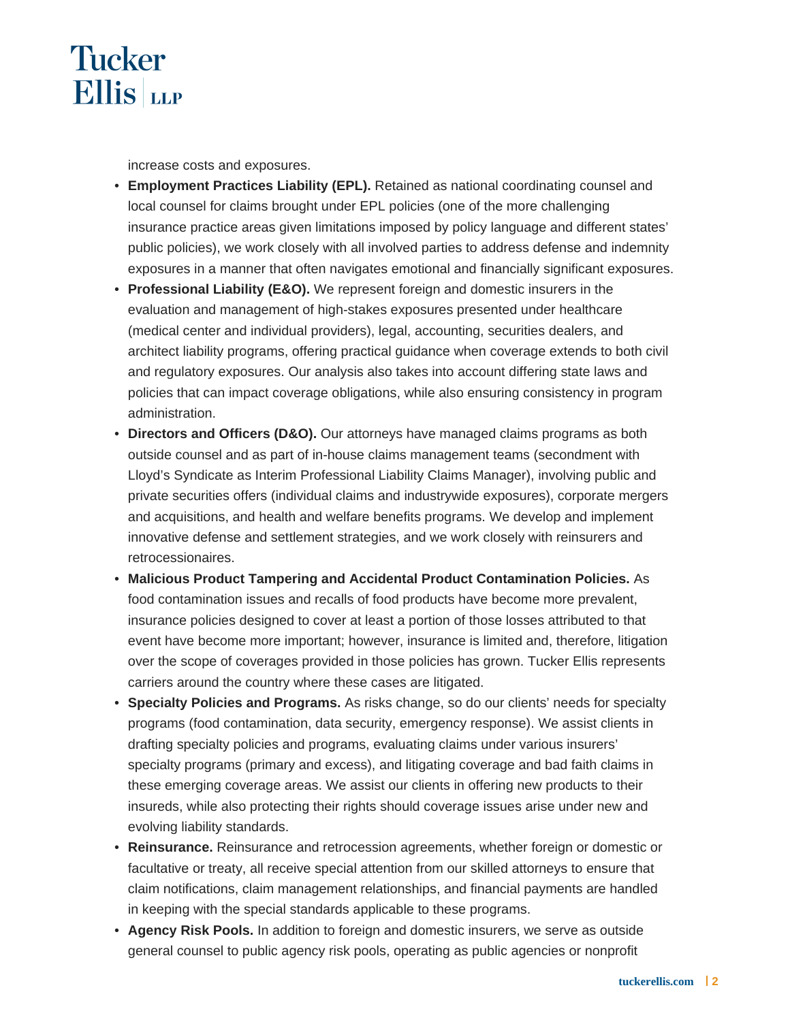

increase costs and exposures.

- Employment Practices Liability (EPL). Retained as national coordinating counsel and local counsel for claims brought under EPL policies (one of the more challenging insurance practice areas given limitations imposed by policy language and different states' public policies), we work closely with all involved parties to address defense and indemnity exposures in a manner that often navigates emotional and financially significant exposures.
- **Professional Liability (E&O).** We represent foreign and domestic insurers in the evaluation and management of high-stakes exposures presented under healthcare (medical center and individual providers), legal, accounting, securities dealers, and architect liability programs, offering practical guidance when coverage extends to both civil and regulatory exposures. Our analysis also takes into account differing state laws and policies that can impact coverage obligations, while also ensuring consistency in program administration.
- Directors and Officers (D&O). Our attorneys have managed claims programs as both outside counsel and as part of in-house claims management teams (secondment with Lloyd's Syndicate as Interim Professional Liability Claims Manager), involving public and private securities offers (individual claims and industrywide exposures), corporate mergers and acquisitions, and health and welfare benefits programs. We develop and implement innovative defense and settlement strategies, and we work closely with reinsurers and retrocessionaires.
- **Malicious Product Tampering and Accidental Product Contamination Policies.** As food contamination issues and recalls of food products have become more prevalent, insurance policies designed to cover at least a portion of those losses attributed to that event have become more important; however, insurance is limited and, therefore, litigation over the scope of coverages provided in those policies has grown. Tucker Ellis represents carriers around the country where these cases are litigated.
- **Specialty Policies and Programs.** As risks change, so do our clients' needs for specialty programs (food contamination, data security, emergency response). We assist clients in drafting specialty policies and programs, evaluating claims under various insurers' specialty programs (primary and excess), and litigating coverage and bad faith claims in these emerging coverage areas. We assist our clients in offering new products to their insureds, while also protecting their rights should coverage issues arise under new and evolving liability standards.
- **Reinsurance.** Reinsurance and retrocession agreements, whether foreign or domestic or facultative or treaty, all receive special attention from our skilled attorneys to ensure that claim notifications, claim management relationships, and financial payments are handled in keeping with the special standards applicable to these programs.
- **Agency Risk Pools.** In addition to foreign and domestic insurers, we serve as outside general counsel to public agency risk pools, operating as public agencies or nonprofit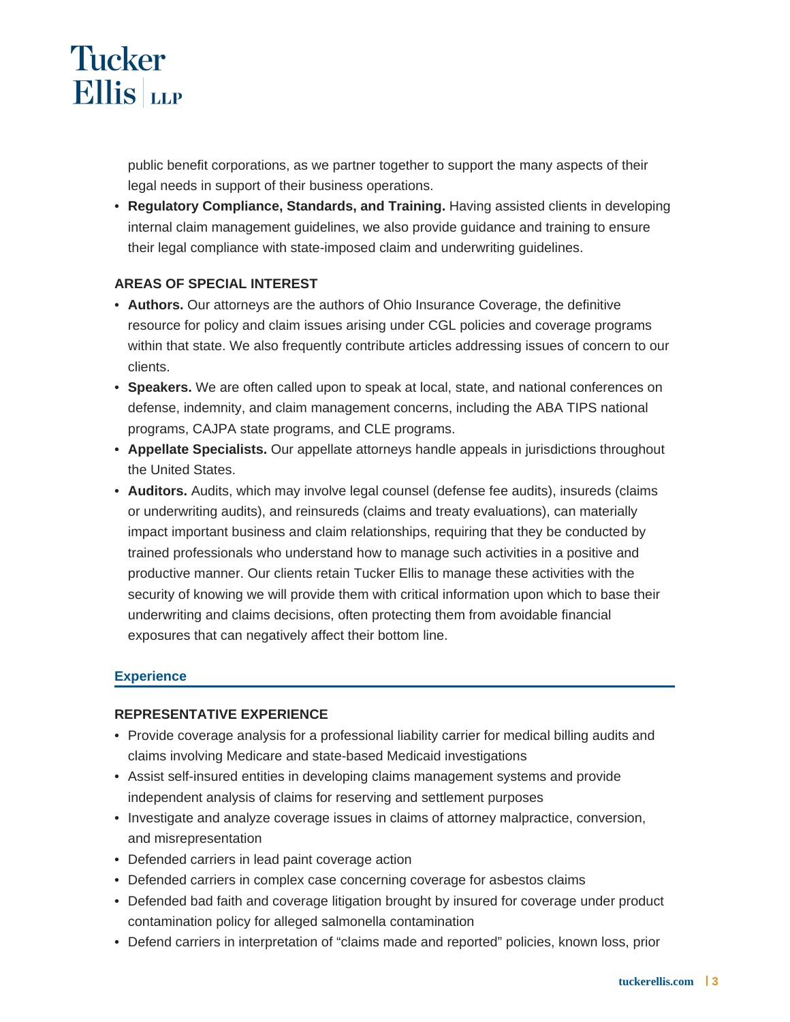# **Tucker Ellis** LLP

public benefit corporations, as we partner together to support the many aspects of their legal needs in support of their business operations.

**• Regulatory Compliance, Standards, and Training. Having assisted clients in developing** internal claim management guidelines, we also provide guidance and training to ensure their legal compliance with state-imposed claim and underwriting guidelines.

#### **AREAS OF SPECIAL INTEREST**

- **Authors.** Our attorneys are the authors of Ohio Insurance Coverage, the definitive resource for policy and claim issues arising under CGL policies and coverage programs within that state. We also frequently contribute articles addressing issues of concern to our clients.
- **Speakers.** We are often called upon to speak at local, state, and national conferences on defense, indemnity, and claim management concerns, including the ABA TIPS national programs, CAJPA state programs, and CLE programs.
- **Appellate Specialists.** Our appellate attorneys handle appeals in jurisdictions throughout the United States.
- **Auditors.** Audits, which may involve legal counsel (defense fee audits), insureds (claims or underwriting audits), and reinsureds (claims and treaty evaluations), can materially impact important business and claim relationships, requiring that they be conducted by trained professionals who understand how to manage such activities in a positive and productive manner. Our clients retain Tucker Ellis to manage these activities with the security of knowing we will provide them with critical information upon which to base their underwriting and claims decisions, often protecting them from avoidable financial exposures that can negatively affect their bottom line.

#### **Experience**

#### **REPRESENTATIVE EXPERIENCE**

- Provide coverage analysis for a professional liability carrier for medical billing audits and claims involving Medicare and state-based Medicaid investigations
- Assist self-insured entities in developing claims management systems and provide independent analysis of claims for reserving and settlement purposes
- Investigate and analyze coverage issues in claims of attorney malpractice, conversion, and misrepresentation
- Defended carriers in lead paint coverage action
- Defended carriers in complex case concerning coverage for asbestos claims
- Defended bad faith and coverage litigation brought by insured for coverage under product contamination policy for alleged salmonella contamination
- Defend carriers in interpretation of "claims made and reported" policies, known loss, prior